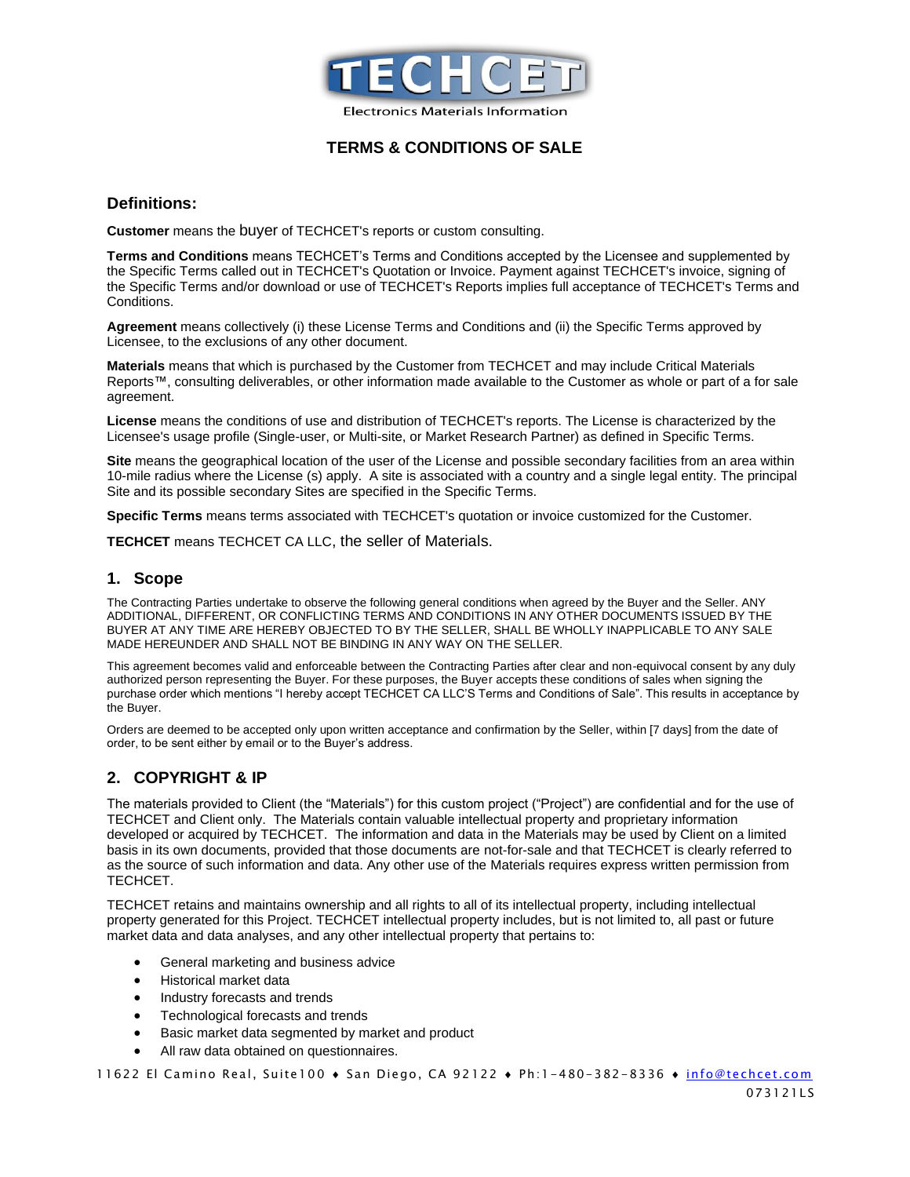

### **TERMS & CONDITIONS OF SALE**

#### **Definitions:**

**Customer** means the buyer of TECHCET's reports or custom consulting.

**Terms and Conditions** means TECHCET's Terms and Conditions accepted by the Licensee and supplemented by the Specific Terms called out in TECHCET's Quotation or Invoice. Payment against TECHCET's invoice, signing of the Specific Terms and/or download or use of TECHCET's Reports implies full acceptance of TECHCET's Terms and Conditions.

**Agreement** means collectively (i) these License Terms and Conditions and (ii) the Specific Terms approved by Licensee, to the exclusions of any other document.

**Materials** means that which is purchased by the Customer from TECHCET and may include Critical Materials Reports™, consulting deliverables, or other information made available to the Customer as whole or part of a for sale agreement.

**License** means the conditions of use and distribution of TECHCET's reports. The License is characterized by the Licensee's usage profile (Single-user, or Multi-site, or Market Research Partner) as defined in Specific Terms.

**Site** means the geographical location of the user of the License and possible secondary facilities from an area within 10-mile radius where the License (s) apply. A site is associated with a country and a single legal entity. The principal Site and its possible secondary Sites are specified in the Specific Terms.

**Specific Terms** means terms associated with TECHCET's quotation or invoice customized for the Customer.

**TECHCET** means TECHCET CA LLC, the seller of Materials.

#### **1. Scope**

The Contracting Parties undertake to observe the following general conditions when agreed by the Buyer and the Seller. ANY ADDITIONAL, DIFFERENT, OR CONFLICTING TERMS AND CONDITIONS IN ANY OTHER DOCUMENTS ISSUED BY THE BUYER AT ANY TIME ARE HEREBY OBJECTED TO BY THE SELLER, SHALL BE WHOLLY INAPPLICABLE TO ANY SALE MADE HEREUNDER AND SHALL NOT BE BINDING IN ANY WAY ON THE SELLER.

This agreement becomes valid and enforceable between the Contracting Parties after clear and non-equivocal consent by any duly authorized person representing the Buyer. For these purposes, the Buyer accepts these conditions of sales when signing the purchase order which mentions "I hereby accept TECHCET CA LLC'S Terms and Conditions of Sale". This results in acceptance by the Buyer.

Orders are deemed to be accepted only upon written acceptance and confirmation by the Seller, within [7 days] from the date of order, to be sent either by email or to the Buyer's address.

## **2. COPYRIGHT & IP**

The materials provided to Client (the "Materials") for this custom project ("Project") are confidential and for the use of TECHCET and Client only. The Materials contain valuable intellectual property and proprietary information developed or acquired by TECHCET. The information and data in the Materials may be used by Client on a limited basis in its own documents, provided that those documents are not-for-sale and that TECHCET is clearly referred to as the source of such information and data. Any other use of the Materials requires express written permission from TECHCET.

TECHCET retains and maintains ownership and all rights to all of its intellectual property, including intellectual property generated for this Project. TECHCET intellectual property includes, but is not limited to, all past or future market data and data analyses, and any other intellectual property that pertains to:

- General marketing and business advice
- Historical market data
- Industry forecasts and trends
- Technological forecasts and trends
- Basic market data segmented by market and product
- All raw data obtained on questionnaires.

11622 El Camino Real, Suite100 • San Diego, CA 92122 • Ph:1-480-382-8336 • [info@techcet.com](mailto:info@techcet.com)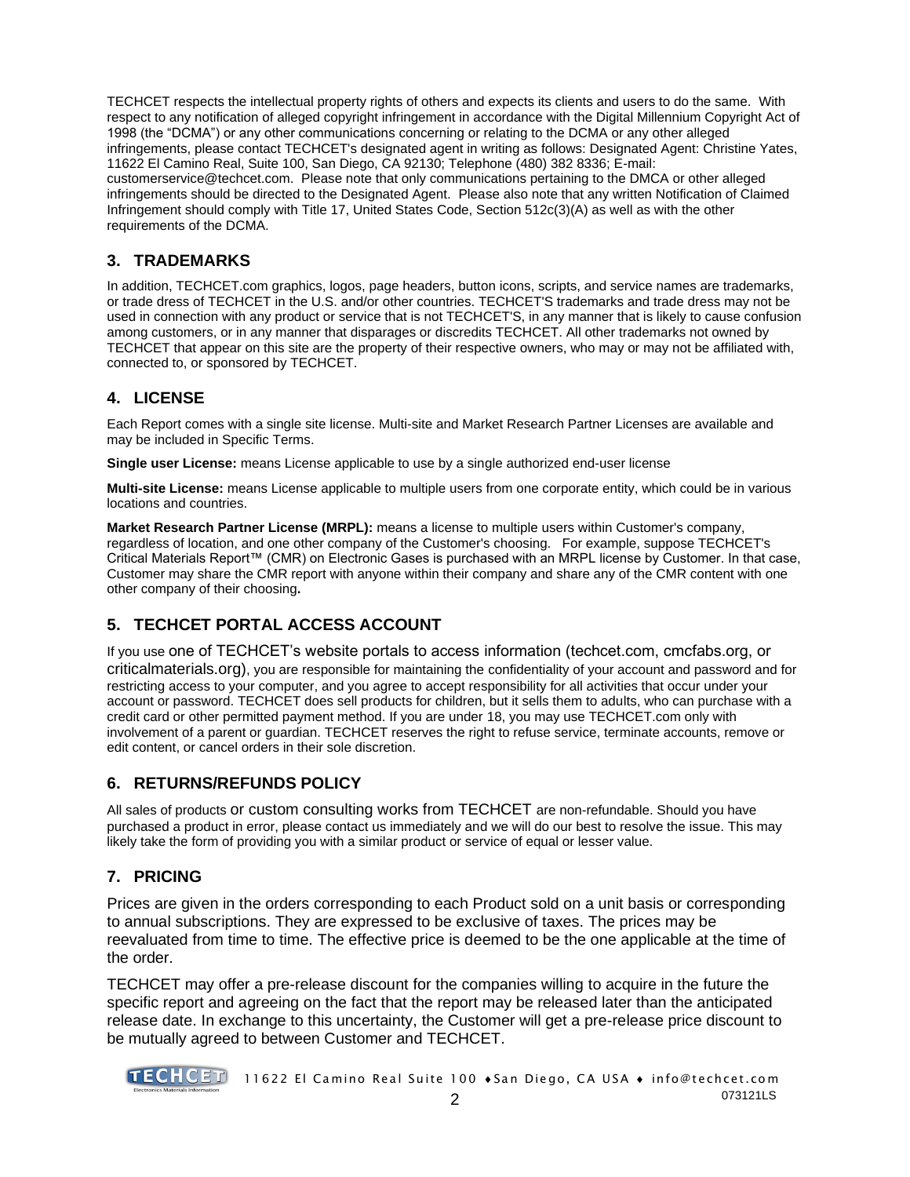TECHCET respects the intellectual property rights of others and expects its clients and users to do the same. With respect to any notification of alleged copyright infringement in accordance with the Digital Millennium Copyright Act of 1998 (the "DCMA") or any other communications concerning or relating to the DCMA or any other alleged infringements, please contact TECHCET's designated agent in writing as follows: Designated Agent: Christine Yates, 11622 El Camino Real, Suite 100, San Diego, CA 92130; Telephone (480) 382 8336; E-mail: customerservice@techcet.com. Please note that only communications pertaining to the DMCA or other alleged

infringements should be directed to the Designated Agent. Please also note that any written Notification of Claimed Infringement should comply with Title 17, United States Code, Section 512c(3)(A) as well as with the other requirements of the DCMA.

## **3. TRADEMARKS**

In addition, TECHCET.com graphics, logos, page headers, button icons, scripts, and service names are trademarks, or trade dress of TECHCET in the U.S. and/or other countries. TECHCET'S trademarks and trade dress may not be used in connection with any product or service that is not TECHCET'S, in any manner that is likely to cause confusion among customers, or in any manner that disparages or discredits TECHCET. All other trademarks not owned by TECHCET that appear on this site are the property of their respective owners, who may or may not be affiliated with, connected to, or sponsored by TECHCET.

# **4. LICENSE**

Each Report comes with a single site license. Multi-site and Market Research Partner Licenses are available and may be included in Specific Terms.

**Single user License:** means License applicable to use by a single authorized end-user license

**Multi-site License:** means License applicable to multiple users from one corporate entity, which could be in various locations and countries.

**Market Research Partner License (MRPL):** means a license to multiple users within Customer's company, regardless of location, and one other company of the Customer's choosing. For example, suppose TECHCET's Critical Materials Report™ (CMR) on Electronic Gases is purchased with an MRPL license by Customer. In that case, Customer may share the CMR report with anyone within their company and share any of the CMR content with one other company of their choosing**.**

# **5. TECHCET PORTAL ACCESS ACCOUNT**

If you use one of TECHCET's website portals to access information (techcet.com, cmcfabs.org, or criticalmaterials.org), you are responsible for maintaining the confidentiality of your account and password and for restricting access to your computer, and you agree to accept responsibility for all activities that occur under your account or password. TECHCET does sell products for children, but it sells them to adults, who can purchase with a credit card or other permitted payment method. If you are under 18, you may use TECHCET.com only with involvement of a parent or guardian. TECHCET reserves the right to refuse service, terminate accounts, remove or edit content, or cancel orders in their sole discretion.

# **6. RETURNS/REFUNDS POLICY**

All sales of products or custom consulting works from TECHCET are non-refundable. Should you have purchased a product in error, please contact us immediately and we will do our best to resolve the issue. This may likely take the form of providing you with a similar product or service of equal or lesser value.

# **7. PRICING**

Prices are given in the orders corresponding to each Product sold on a unit basis or corresponding to annual subscriptions. They are expressed to be exclusive of taxes. The prices may be reevaluated from time to time. The effective price is deemed to be the one applicable at the time of the order.

TECHCET may offer a pre-release discount for the companies willing to acquire in the future the specific report and agreeing on the fact that the report may be released later than the anticipated release date. In exchange to this uncertainty, the Customer will get a pre-release price discount to be mutually agreed to between Customer and TECHCET.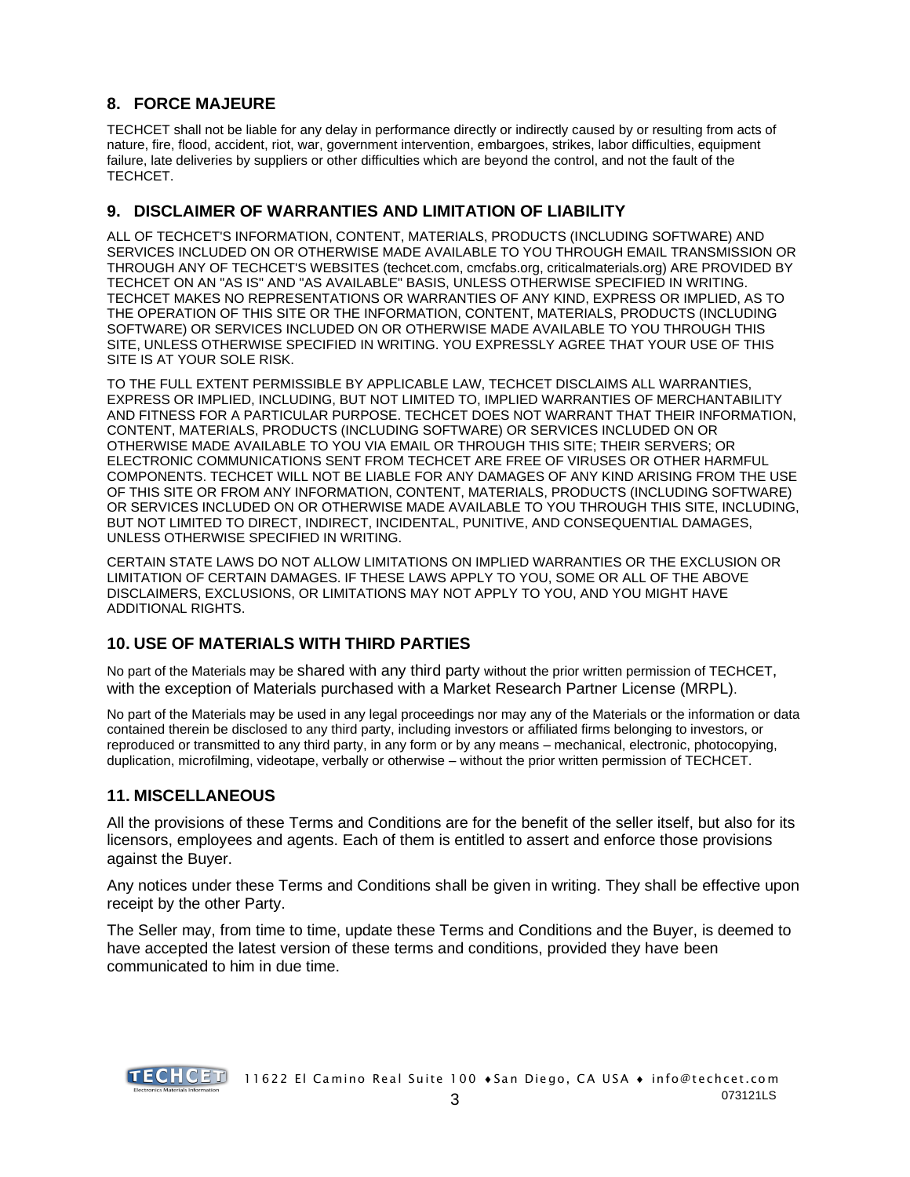## **8. FORCE MAJEURE**

TECHCET shall not be liable for any delay in performance directly or indirectly caused by or resulting from acts of nature, fire, flood, accident, riot, war, government intervention, embargoes, strikes, labor difficulties, equipment failure, late deliveries by suppliers or other difficulties which are beyond the control, and not the fault of the TECHCET.

# **9. DISCLAIMER OF WARRANTIES AND LIMITATION OF LIABILITY**

ALL OF TECHCET'S INFORMATION, CONTENT, MATERIALS, PRODUCTS (INCLUDING SOFTWARE) AND SERVICES INCLUDED ON OR OTHERWISE MADE AVAILABLE TO YOU THROUGH EMAIL TRANSMISSION OR THROUGH ANY OF TECHCET'S WEBSITES (techcet.com, cmcfabs.org, criticalmaterials.org) ARE PROVIDED BY TECHCET ON AN "AS IS" AND "AS AVAILABLE" BASIS, UNLESS OTHERWISE SPECIFIED IN WRITING. TECHCET MAKES NO REPRESENTATIONS OR WARRANTIES OF ANY KIND, EXPRESS OR IMPLIED, AS TO THE OPERATION OF THIS SITE OR THE INFORMATION, CONTENT, MATERIALS, PRODUCTS (INCLUDING SOFTWARE) OR SERVICES INCLUDED ON OR OTHERWISE MADE AVAILABLE TO YOU THROUGH THIS SITE, UNLESS OTHERWISE SPECIFIED IN WRITING. YOU EXPRESSLY AGREE THAT YOUR USE OF THIS SITE IS AT YOUR SOLE RISK.

TO THE FULL EXTENT PERMISSIBLE BY APPLICABLE LAW, TECHCET DISCLAIMS ALL WARRANTIES, EXPRESS OR IMPLIED, INCLUDING, BUT NOT LIMITED TO, IMPLIED WARRANTIES OF MERCHANTABILITY AND FITNESS FOR A PARTICULAR PURPOSE. TECHCET DOES NOT WARRANT THAT THEIR INFORMATION, CONTENT, MATERIALS, PRODUCTS (INCLUDING SOFTWARE) OR SERVICES INCLUDED ON OR OTHERWISE MADE AVAILABLE TO YOU VIA EMAIL OR THROUGH THIS SITE; THEIR SERVERS; OR ELECTRONIC COMMUNICATIONS SENT FROM TECHCET ARE FREE OF VIRUSES OR OTHER HARMFUL COMPONENTS. TECHCET WILL NOT BE LIABLE FOR ANY DAMAGES OF ANY KIND ARISING FROM THE USE OF THIS SITE OR FROM ANY INFORMATION, CONTENT, MATERIALS, PRODUCTS (INCLUDING SOFTWARE) OR SERVICES INCLUDED ON OR OTHERWISE MADE AVAILABLE TO YOU THROUGH THIS SITE, INCLUDING, BUT NOT LIMITED TO DIRECT, INDIRECT, INCIDENTAL, PUNITIVE, AND CONSEQUENTIAL DAMAGES, UNLESS OTHERWISE SPECIFIED IN WRITING.

CERTAIN STATE LAWS DO NOT ALLOW LIMITATIONS ON IMPLIED WARRANTIES OR THE EXCLUSION OR LIMITATION OF CERTAIN DAMAGES. IF THESE LAWS APPLY TO YOU, SOME OR ALL OF THE ABOVE DISCLAIMERS, EXCLUSIONS, OR LIMITATIONS MAY NOT APPLY TO YOU, AND YOU MIGHT HAVE ADDITIONAL RIGHTS.

# **10. USE OF MATERIALS WITH THIRD PARTIES**

No part of the Materials may be shared with any third party without the prior written permission of TECHCET, with the exception of Materials purchased with a Market Research Partner License (MRPL).

No part of the Materials may be used in any legal proceedings nor may any of the Materials or the information or data contained therein be disclosed to any third party, including investors or affiliated firms belonging to investors, or reproduced or transmitted to any third party, in any form or by any means – mechanical, electronic, photocopying, duplication, microfilming, videotape, verbally or otherwise – without the prior written permission of TECHCET.

## **11. MISCELLANEOUS**

All the provisions of these Terms and Conditions are for the benefit of the seller itself, but also for its licensors, employees and agents. Each of them is entitled to assert and enforce those provisions against the Buyer.

Any notices under these Terms and Conditions shall be given in writing. They shall be effective upon receipt by the other Party.

The Seller may, from time to time, update these Terms and Conditions and the Buyer, is deemed to have accepted the latest version of these terms and conditions, provided they have been communicated to him in due time.